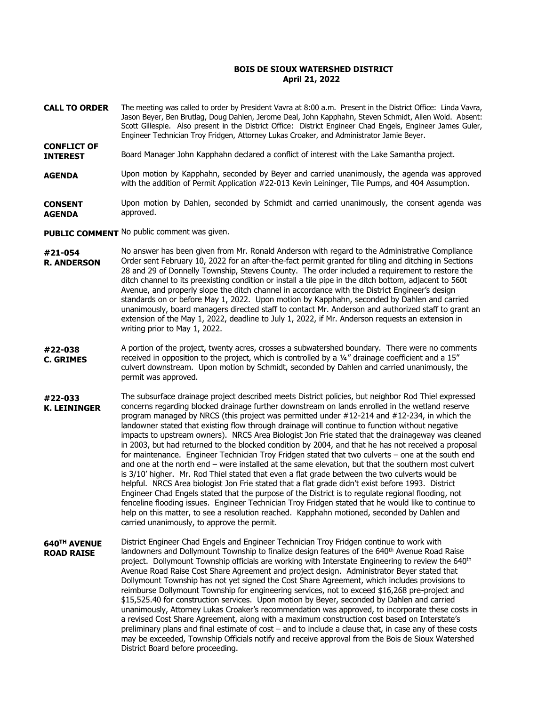## **BOIS DE SIOUX WATERSHED DISTRICT April 21, 2022**

- The meeting was called to order by President Vavra at 8:00 a.m. Present in the District Office: Linda Vavra, Jason Beyer, Ben Brutlag, Doug Dahlen, Jerome Deal, John Kapphahn, Steven Schmidt, Allen Wold. Absent: Scott Gillespie. Also present in the District Office: District Engineer Chad Engels, Engineer James Guler, Engineer Technician Troy Fridgen, Attorney Lukas Croaker, and Administrator Jamie Beyer. **CALL TO ORDER**
- Board Manager John Kapphahn declared a conflict of interest with the Lake Samantha project. **INTEREST**
- Upon motion by Kapphahn, seconded by Beyer and carried unanimously, the agenda was approved with the addition of Permit Application #22-013 Kevin Leininger, Tile Pumps, and 404 Assumption. **AGENDA**

Upon motion by Dahlen, seconded by Schmidt and carried unanimously, the consent agenda was approved. **CONSENT AGENDA**

PUBLIC COMMENT No public comment was given.

**CONFLICT OF** 

- No answer has been given from Mr. Ronald Anderson with regard to the Administrative Compliance Order sent February 10, 2022 for an after-the-fact permit granted for tiling and ditching in Sections 28 and 29 of Donnelly Township, Stevens County. The order included a requirement to restore the ditch channel to its preexisting condition or install a tile pipe in the ditch bottom, adjacent to 560t Avenue, and properly slope the ditch channel in accordance with the District Engineer's design standards on or before May 1, 2022. Upon motion by Kapphahn, seconded by Dahlen and carried unanimously, board managers directed staff to contact Mr. Anderson and authorized staff to grant an extension of the May 1, 2022, deadline to July 1, 2022, if Mr. Anderson requests an extension in writing prior to May 1, 2022. **#21-054 R. ANDERSON**
- A portion of the project, twenty acres, crosses a subwatershed boundary. There were no comments received in opposition to the project, which is controlled by a ¼" drainage coefficient and a 15" culvert downstream. Upon motion by Schmidt, seconded by Dahlen and carried unanimously, the permit was approved. **#22-038 C. GRIMES**
- The subsurface drainage project described meets District policies, but neighbor Rod Thiel expressed concerns regarding blocked drainage further downstream on lands enrolled in the wetland reserve program managed by NRCS (this project was permitted under #12-214 and #12-234, in which the landowner stated that existing flow through drainage will continue to function without negative impacts to upstream owners). NRCS Area Biologist Jon Frie stated that the drainageway was cleaned in 2003, but had returned to the blocked condition by 2004, and that he has not received a proposal for maintenance. Engineer Technician Troy Fridgen stated that two culverts – one at the south end and one at the north end – were installed at the same elevation, but that the southern most culvert is 3/10' higher. Mr. Rod Thiel stated that even a flat grade between the two culverts would be helpful. NRCS Area biologist Jon Frie stated that a flat grade didn't exist before 1993. District Engineer Chad Engels stated that the purpose of the District is to regulate regional flooding, not fenceline flooding issues. Engineer Technician Troy Fridgen stated that he would like to continue to help on this matter, to see a resolution reached. Kapphahn motioned, seconded by Dahlen and carried unanimously, to approve the permit. **#22-033 K. LEININGER**
- District Engineer Chad Engels and Engineer Technician Troy Fridgen continue to work with landowners and Dollymount Township to finalize design features of the 640<sup>th</sup> Avenue Road Raise project. Dollymount Township officials are working with Interstate Engineering to review the 640<sup>th</sup> Avenue Road Raise Cost Share Agreement and project design. Administrator Beyer stated that Dollymount Township has not yet signed the Cost Share Agreement, which includes provisions to reimburse Dollymount Township for engineering services, not to exceed \$16,268 pre-project and \$15,525.40 for construction services. Upon motion by Beyer, seconded by Dahlen and carried unanimously, Attorney Lukas Croaker's recommendation was approved, to incorporate these costs in a revised Cost Share Agreement, along with a maximum construction cost based on Interstate's preliminary plans and final estimate of cost – and to include a clause that, in case any of these costs may be exceeded, Township Officials notify and receive approval from the Bois de Sioux Watershed District Board before proceeding. **640TH AVENUE ROAD RAISE**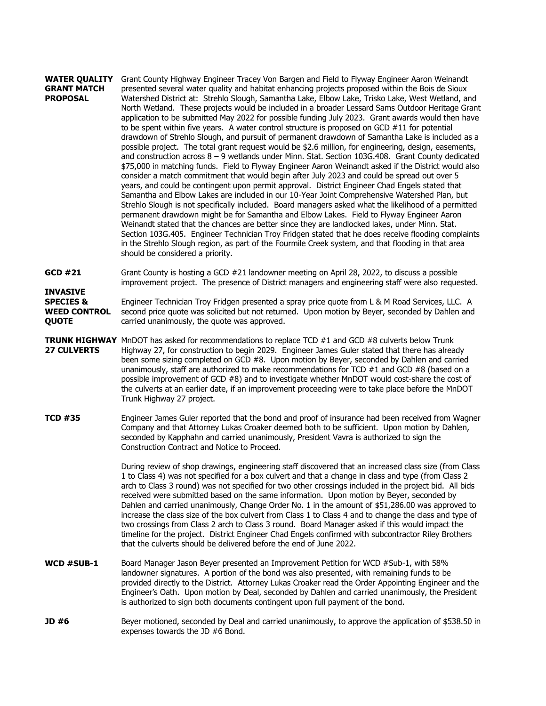## Grant County Highway Engineer Tracey Von Bargen and Field to Flyway Engineer Aaron Weinandt presented several water quality and habitat enhancing projects proposed within the Bois de Sioux Watershed District at: Strehlo Slough, Samantha Lake, Elbow Lake, Trisko Lake, West Wetland, and North Wetland. These projects would be included in a broader Lessard Sams Outdoor Heritage Grant application to be submitted May 2022 for possible funding July 2023. Grant awards would then have to be spent within five years. A water control structure is proposed on GCD #11 for potential drawdown of Strehlo Slough, and pursuit of permanent drawdown of Samantha Lake is included as a possible project. The total grant request would be \$2.6 million, for engineering, design, easements, and construction across 8 – 9 wetlands under Minn. Stat. Section 103G.408. Grant County dedicated \$75,000 in matching funds. Field to Flyway Engineer Aaron Weinandt asked if the District would also consider a match commitment that would begin after July 2023 and could be spread out over 5 years, and could be contingent upon permit approval. District Engineer Chad Engels stated that Samantha and Elbow Lakes are included in our 10-Year Joint Comprehensive Watershed Plan, but Strehlo Slough is not specifically included. Board managers asked what the likelihood of a permitted permanent drawdown might be for Samantha and Elbow Lakes. Field to Flyway Engineer Aaron Weinandt stated that the chances are better since they are landlocked lakes, under Minn. Stat. Section 103G.405. Engineer Technician Troy Fridgen stated that he does receive flooding complaints in the Strehlo Slough region, as part of the Fourmile Creek system, and that flooding in that area should be considered a priority. **WATER QUALITY GRANT MATCH PROPOSAL**

Grant County is hosting a GCD #21 landowner meeting on April 28, 2022, to discuss a possible improvement project. The presence of District managers and engineering staff were also requested. **GCD #21**

Engineer Technician Troy Fridgen presented a spray price quote from L & M Road Services, LLC. A second price quote was solicited but not returned. Upon motion by Beyer, seconded by Dahlen and carried unanimously, the quote was approved. **SPECIES & WEED CONTROL QUOTE**

**INVASIVE** 

- **TRUNK HIGHWAY** MnDOT has asked for recommendations to replace TCD #1 and GCD #8 culverts below Trunk Highway 27, for construction to begin 2029. Engineer James Guler stated that there has already been some sizing completed on GCD #8. Upon motion by Beyer, seconded by Dahlen and carried unanimously, staff are authorized to make recommendations for TCD  $#1$  and GCD  $#8$  (based on a possible improvement of GCD #8) and to investigate whether MnDOT would cost-share the cost of the culverts at an earlier date, if an improvement proceeding were to take place before the MnDOT Trunk Highway 27 project. **27 CULVERTS**
- Engineer James Guler reported that the bond and proof of insurance had been received from Wagner Company and that Attorney Lukas Croaker deemed both to be sufficient. Upon motion by Dahlen, seconded by Kapphahn and carried unanimously, President Vavra is authorized to sign the Construction Contract and Notice to Proceed. **TCD #35**

During review of shop drawings, engineering staff discovered that an increased class size (from Class 1 to Class 4) was not specified for a box culvert and that a change in class and type (from Class 2 arch to Class 3 round) was not specified for two other crossings included in the project bid. All bids received were submitted based on the same information. Upon motion by Beyer, seconded by Dahlen and carried unanimously, Change Order No. 1 in the amount of \$51,286.00 was approved to increase the class size of the box culvert from Class 1 to Class 4 and to change the class and type of two crossings from Class 2 arch to Class 3 round. Board Manager asked if this would impact the timeline for the project. District Engineer Chad Engels confirmed with subcontractor Riley Brothers that the culverts should be delivered before the end of June 2022.

- Board Manager Jason Beyer presented an Improvement Petition for WCD #Sub-1, with 58% landowner signatures. A portion of the bond was also presented, with remaining funds to be provided directly to the District. Attorney Lukas Croaker read the Order Appointing Engineer and the Engineer's Oath. Upon motion by Deal, seconded by Dahlen and carried unanimously, the President is authorized to sign both documents contingent upon full payment of the bond. **WCD #SUB-1**
- Beyer motioned, seconded by Deal and carried unanimously, to approve the application of \$538.50 in expenses towards the JD #6 Bond. **JD #6**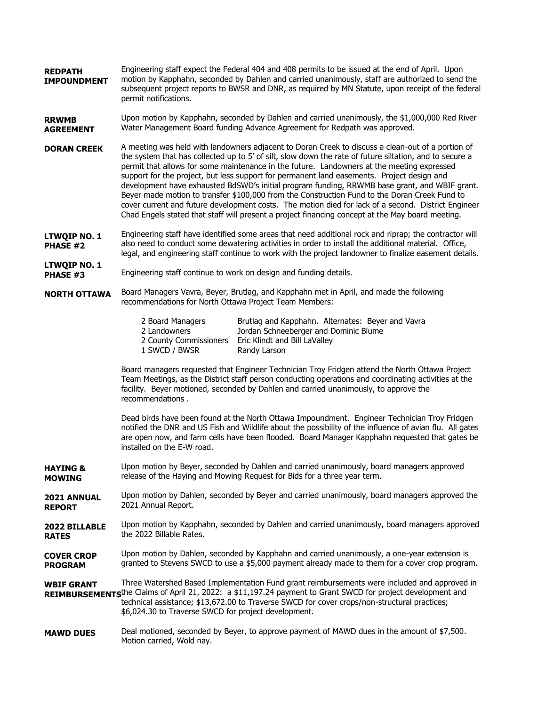- Engineering staff expect the Federal 404 and 408 permits to be issued at the end of April. Upon motion by Kapphahn, seconded by Dahlen and carried unanimously, staff are authorized to send the subsequent project reports to BWSR and DNR, as required by MN Statute, upon receipt of the federal permit notifications. **REDPATH IMPOUNDMENT**
- Upon motion by Kapphahn, seconded by Dahlen and carried unanimously, the \$1,000,000 Red River Water Management Board funding Advance Agreement for Redpath was approved. **RRWMB AGREEMENT**
- A meeting was held with landowners adjacent to Doran Creek to discuss a clean-out of a portion of the system that has collected up to 5' of silt, slow down the rate of future siltation, and to secure a permit that allows for some maintenance in the future. Landowners at the meeting expressed support for the project, but less support for permanent land easements. Project design and development have exhausted BdSWD's initial program funding, RRWMB base grant, and WBIF grant. Beyer made motion to transfer \$100,000 from the Construction Fund to the Doran Creek Fund to cover current and future development costs. The motion died for lack of a second. District Engineer Chad Engels stated that staff will present a project financing concept at the May board meeting. **DORAN CREEK**
- Engineering staff have identified some areas that need additional rock and riprap; the contractor will also need to conduct some dewatering activities in order to install the additional material. Office, legal, and engineering staff continue to work with the project landowner to finalize easement details. **LTWQIP NO. 1 PHASE #2**
- Engineering staff continue to work on design and funding details. **LTWQIP NO. 1 PHASE #3**
- Board Managers Vavra, Beyer, Brutlag, and Kapphahn met in April, and made the following recommendations for North Ottawa Project Team Members: **NORTH OTTAWA**

| 2 Board Managers       | Brutlag and Kapphahn. Alternates: Beyer and Vavra |
|------------------------|---------------------------------------------------|
| 2 Landowners           | Jordan Schneeberger and Dominic Blume             |
| 2 County Commissioners | Eric Klindt and Bill LaValley                     |
| 1 SWCD / BWSR          | Randy Larson                                      |

Board managers requested that Engineer Technician Troy Fridgen attend the North Ottawa Project Team Meetings, as the District staff person conducting operations and coordinating activities at the facility. Beyer motioned, seconded by Dahlen and carried unanimously, to approve the recommendations .

Dead birds have been found at the North Ottawa Impoundment. Engineer Technician Troy Fridgen notified the DNR and US Fish and Wildlife about the possibility of the influence of avian flu. All gates are open now, and farm cells have been flooded. Board Manager Kapphahn requested that gates be installed on the E-W road.

- Upon motion by Beyer, seconded by Dahlen and carried unanimously, board managers approved release of the Haying and Mowing Request for Bids for a three year term. **HAYING & MOWING**
- Upon motion by Dahlen, seconded by Beyer and carried unanimously, board managers approved the 2021 Annual Report. **2021 ANNUAL REPORT**
- Upon motion by Kapphahn, seconded by Dahlen and carried unanimously, board managers approved the 2022 Billable Rates. **2022 BILLABLE RATES**
- Upon motion by Dahlen, seconded by Kapphahn and carried unanimously, a one-year extension is granted to Stevens SWCD to use a \$5,000 payment already made to them for a cover crop program. **COVER CROP PROGRAM**

Three Watershed Based Implementation Fund grant reimbursements were included and approved in REIMBURSEMENTS<sup>the Claims of April 21, 2022: a \$11,197.24 payment to Grant SWCD for project development and</sup> technical assistance; \$13,672.00 to Traverse SWCD for cover crops/non-structural practices; \$6,024.30 to Traverse SWCD for project development. **WBIF GRANT**

Deal motioned, seconded by Beyer, to approve payment of MAWD dues in the amount of \$7,500. Motion carried, Wold nay. **MAWD DUES**